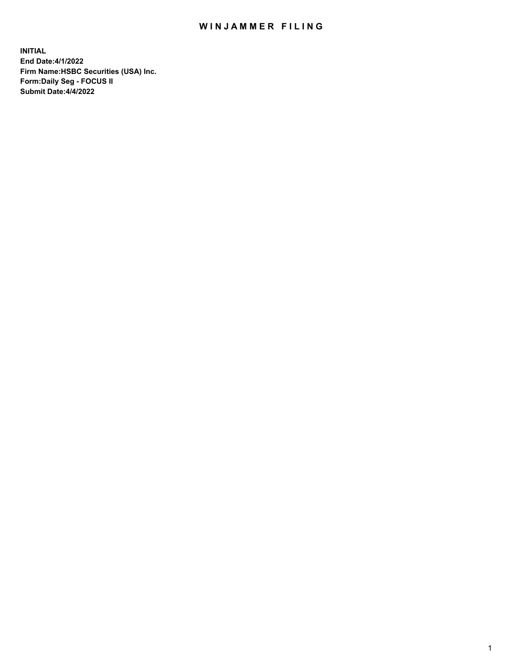## WIN JAMMER FILING

**INITIAL End Date:4/1/2022 Firm Name:HSBC Securities (USA) Inc. Form:Daily Seg - FOCUS II Submit Date:4/4/2022**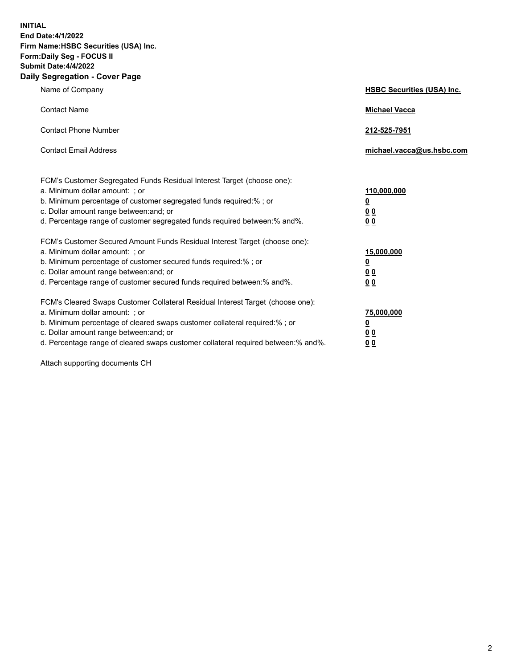**INITIAL End Date:4/1/2022 Firm Name:HSBC Securities (USA) Inc. Form:Daily Seg - FOCUS II Submit Date:4/4/2022 Daily Segregation - Cover Page**

| Name of Company                                                                                                                                                                                                                                                                                                                | <b>HSBC Securities (USA) Inc.</b>                              |
|--------------------------------------------------------------------------------------------------------------------------------------------------------------------------------------------------------------------------------------------------------------------------------------------------------------------------------|----------------------------------------------------------------|
| <b>Contact Name</b>                                                                                                                                                                                                                                                                                                            | <b>Michael Vacca</b>                                           |
| <b>Contact Phone Number</b>                                                                                                                                                                                                                                                                                                    | 212-525-7951                                                   |
| <b>Contact Email Address</b>                                                                                                                                                                                                                                                                                                   | michael.vacca@us.hsbc.com                                      |
| FCM's Customer Segregated Funds Residual Interest Target (choose one):<br>a. Minimum dollar amount: ; or<br>b. Minimum percentage of customer segregated funds required:%; or<br>c. Dollar amount range between: and; or<br>d. Percentage range of customer segregated funds required between:% and%.                          | 110,000,000<br>$\overline{\mathbf{0}}$<br>0 <sub>0</sub><br>00 |
| FCM's Customer Secured Amount Funds Residual Interest Target (choose one):<br>a. Minimum dollar amount: ; or<br>b. Minimum percentage of customer secured funds required:%; or<br>c. Dollar amount range between: and; or<br>d. Percentage range of customer secured funds required between:% and%.                            | 15,000,000<br><u>0</u><br>0 <sub>0</sub><br>00                 |
| FCM's Cleared Swaps Customer Collateral Residual Interest Target (choose one):<br>a. Minimum dollar amount: ; or<br>b. Minimum percentage of cleared swaps customer collateral required:% ; or<br>c. Dollar amount range between: and; or<br>d. Percentage range of cleared swaps customer collateral required between:% and%. | 75,000,000<br><u>0</u><br><u>00</u><br>00                      |

Attach supporting documents CH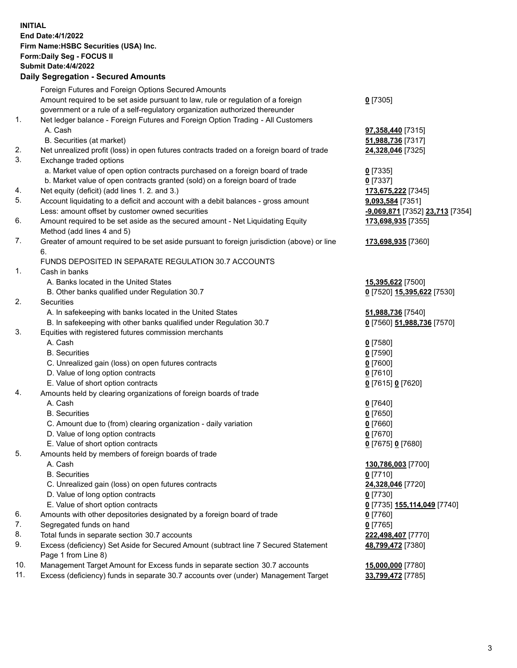**INITIAL End Date:4/1/2022 Firm Name:HSBC Securities (USA) Inc. Form:Daily Seg - FOCUS II Submit Date:4/4/2022 Daily Segregation - Secured Amounts** Foreign Futures and Foreign Options Secured Amounts Amount required to be set aside pursuant to law, rule or regulation of a foreign government or a rule of a self-regulatory organization authorized thereunder **0** [7305] 1. Net ledger balance - Foreign Futures and Foreign Option Trading - All Customers A. Cash **97,358,440** [7315] B. Securities (at market) **51,988,736** [7317] 2. Net unrealized profit (loss) in open futures contracts traded on a foreign board of trade **24,328,046** [7325] 3. Exchange traded options a. Market value of open option contracts purchased on a foreign board of trade **0** [7335] b. Market value of open contracts granted (sold) on a foreign board of trade **0** [7337] 4. Net equity (deficit) (add lines 1. 2. and 3.) **173,675,222** [7345] 5. Account liquidating to a deficit and account with a debit balances - gross amount **9,093,584** [7351] Less: amount offset by customer owned securities **-9,069,871** [7352] **23,713** [7354] 6. Amount required to be set aside as the secured amount - Net Liquidating Equity Method (add lines 4 and 5) **173,698,935** [7355] 7. Greater of amount required to be set aside pursuant to foreign jurisdiction (above) or line 6. **173,698,935** [7360] FUNDS DEPOSITED IN SEPARATE REGULATION 30.7 ACCOUNTS 1. Cash in banks A. Banks located in the United States **15,395,622** [7500] B. Other banks qualified under Regulation 30.7 **0** [7520] **15,395,622** [7530] 2. Securities A. In safekeeping with banks located in the United States **51,988,736** [7540] B. In safekeeping with other banks qualified under Regulation 30.7 **0** [7560] **51,988,736** [7570] 3. Equities with registered futures commission merchants A. Cash **0** [7580] B. Securities **0** [7590] C. Unrealized gain (loss) on open futures contracts **0** [7600] D. Value of long option contracts **0** [7610] E. Value of short option contracts **0** [7615] **0** [7620] 4. Amounts held by clearing organizations of foreign boards of trade A. Cash **0** [7640] B. Securities **0** [7650] C. Amount due to (from) clearing organization - daily variation **0** [7660] D. Value of long option contracts **0** [7670] E. Value of short option contracts **0** [7675] **0** [7680] 5. Amounts held by members of foreign boards of trade A. Cash **130,786,003** [7700] B. Securities **0** [7710] C. Unrealized gain (loss) on open futures contracts **24,328,046** [7720] D. Value of long option contracts **0** [7730] E. Value of short option contracts **0** [7735] **155,114,049** [7740] 6. Amounts with other depositories designated by a foreign board of trade **0** [7760] 7. Segregated funds on hand **0** [7765] 8. Total funds in separate section 30.7 accounts **222,498,407** [7770] 9. Excess (deficiency) Set Aside for Secured Amount (subtract line 7 Secured Statement Page 1 from Line 8) **48,799,472** [7380] 10. Management Target Amount for Excess funds in separate section 30.7 accounts **15,000,000** [7780] 11. Excess (deficiency) funds in separate 30.7 accounts over (under) Management Target **33,799,472** [7785]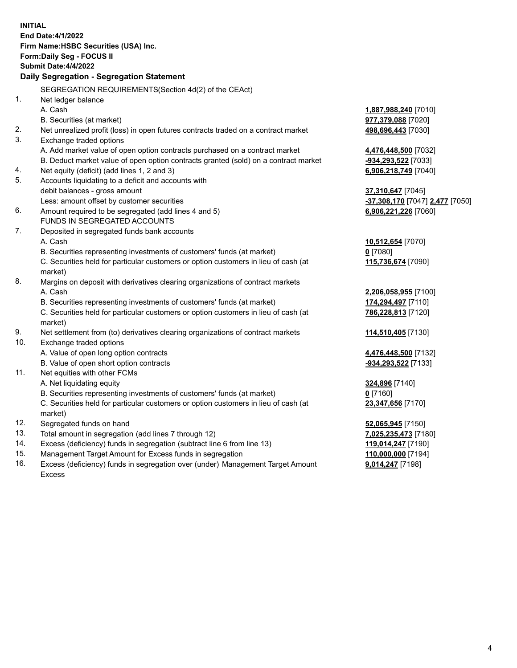| <b>INITIAL</b> | End Date: 4/1/2022                                                                  |                                 |
|----------------|-------------------------------------------------------------------------------------|---------------------------------|
|                | Firm Name: HSBC Securities (USA) Inc.                                               |                                 |
|                | Form: Daily Seg - FOCUS II                                                          |                                 |
|                | Submit Date: 4/4/2022                                                               |                                 |
|                | Daily Segregation - Segregation Statement                                           |                                 |
|                | SEGREGATION REQUIREMENTS(Section 4d(2) of the CEAct)                                |                                 |
| 1.             | Net ledger balance                                                                  |                                 |
|                | A. Cash                                                                             | 1,887,988,240 [7010]            |
|                | B. Securities (at market)                                                           | 977,379,088 [7020]              |
| 2.             | Net unrealized profit (loss) in open futures contracts traded on a contract market  | 498,696,443 [7030]              |
| 3.             | Exchange traded options                                                             |                                 |
|                | A. Add market value of open option contracts purchased on a contract market         | 4,476,448,500 [7032]            |
|                | B. Deduct market value of open option contracts granted (sold) on a contract market | -934,293,522 [7033]             |
| 4.             | Net equity (deficit) (add lines 1, 2 and 3)                                         | 6,906,218,749 [7040]            |
| 5.             | Accounts liquidating to a deficit and accounts with                                 |                                 |
|                | debit balances - gross amount                                                       | 37,310,647 [7045]               |
|                | Less: amount offset by customer securities                                          | -37,308,170 [7047] 2,477 [7050] |
| 6.             | Amount required to be segregated (add lines 4 and 5)                                | 6,906,221,226 [7060]            |
|                | FUNDS IN SEGREGATED ACCOUNTS                                                        |                                 |
| 7.             | Deposited in segregated funds bank accounts                                         |                                 |
|                | A. Cash                                                                             | 10,512,654 [7070]               |
|                | B. Securities representing investments of customers' funds (at market)              | $0$ [7080]                      |
|                | C. Securities held for particular customers or option customers in lieu of cash (at | 115,736,674 [7090]              |
|                | market)                                                                             |                                 |
| 8.             | Margins on deposit with derivatives clearing organizations of contract markets      |                                 |
|                | A. Cash                                                                             | 2,206,058,955 [7100]            |
|                | B. Securities representing investments of customers' funds (at market)              | 174,294,497 [7110]              |
|                | C. Securities held for particular customers or option customers in lieu of cash (at | 786,228,813 [7120]              |
|                | market)                                                                             |                                 |
| 9.             | Net settlement from (to) derivatives clearing organizations of contract markets     | 114,510,405 [7130]              |
| 10.            | Exchange traded options                                                             |                                 |
|                | A. Value of open long option contracts                                              | 4,476,448,500 [7132]            |
|                | B. Value of open short option contracts                                             | -934,293,522 [7133]             |
| 11.            | Net equities with other FCMs                                                        |                                 |
|                | A. Net liquidating equity                                                           | 324,896 [7140]                  |
|                | B. Securities representing investments of customers' funds (at market)              | $0$ [7160]                      |
|                | C. Securities held for particular customers or option customers in lieu of cash (at | 23,347,656 [7170]               |
|                | market)                                                                             |                                 |
| 12.            | Segregated funds on hand                                                            | 52,065,945 [7150]               |
| 13.            | Total amount in segregation (add lines 7 through 12)                                | 7,025,235,473 [7180]            |
| 14.            | Excess (deficiency) funds in segregation (subtract line 6 from line 13)             | 119,014,247 [7190]              |
| 15.            | Management Target Amount for Excess funds in segregation                            | 110,000,000 [7194]              |
| 16.            | Excess (deficiency) funds in segregation over (under) Management Target Amount      | 9,014,247 [7198]                |
|                | Excess                                                                              |                                 |